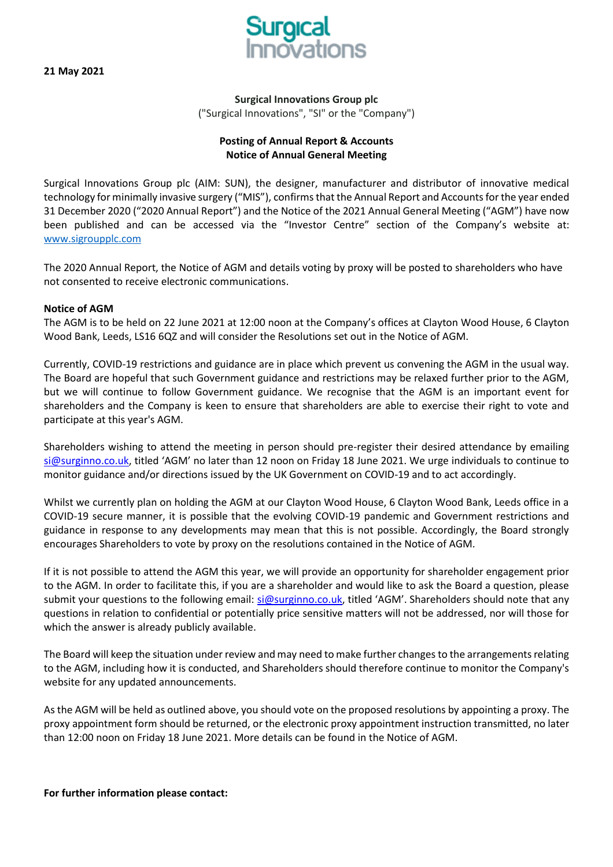**21 May 2021** 



**Surgical Innovations Group plc** ("Surgical Innovations", "SI" or the "Company")

# **Posting of Annual Report & Accounts Notice of Annual General Meeting**

Surgical Innovations Group plc (AIM: SUN), the designer, manufacturer and distributor of innovative medical technology for minimally invasive surgery ("MIS"), confirms that the Annual Report and Accounts for the year ended 31 December 2020 ("2020 Annual Report") and the Notice of the 2021 Annual General Meeting ("AGM") have now been published and can be accessed via the "Investor Centre" section of the Company's website at: [www.sigroupplc.com](http://www.sigroupplc.com/)

The 2020 Annual Report, the Notice of AGM and details voting by proxy will be posted to shareholders who have not consented to receive electronic communications.

### **Notice of AGM**

The AGM is to be held on 22 June 2021 at 12:00 noon at the Company's offices at Clayton Wood House, 6 Clayton Wood Bank, Leeds, LS16 6QZ and will consider the Resolutions set out in the Notice of AGM.

Currently, COVID-19 restrictions and guidance are in place which prevent us convening the AGM in the usual way. The Board are hopeful that such Government guidance and restrictions may be relaxed further prior to the AGM, but we will continue to follow Government guidance. We recognise that the AGM is an important event for shareholders and the Company is keen to ensure that shareholders are able to exercise their right to vote and participate at this year's AGM.

Shareholders wishing to attend the meeting in person should pre-register their desired attendance by emailing [si@surginno.co.uk,](mailto:si@surginno.co.uk) titled 'AGM' no later than 12 noon on Friday 18 June 2021. We urge individuals to continue to monitor guidance and/or directions issued by the UK Government on COVID-19 and to act accordingly.

Whilst we currently plan on holding the AGM at our Clayton Wood House, 6 Clayton Wood Bank, Leeds office in a COVID-19 secure manner, it is possible that the evolving COVID-19 pandemic and Government restrictions and guidance in response to any developments may mean that this is not possible. Accordingly, the Board strongly encourages Shareholders to vote by proxy on the resolutions contained in the Notice of AGM.

If it is not possible to attend the AGM this year, we will provide an opportunity for shareholder engagement prior to the AGM. In order to facilitate this, if you are a shareholder and would like to ask the Board a question, please submit your questions to the following email: [si@surginno.co.uk,](mailto:si@surginno.co.uk) titled 'AGM'. Shareholders should note that any questions in relation to confidential or potentially price sensitive matters will not be addressed, nor will those for which the answer is already publicly available.

The Board will keep the situation under review and may need to make further changes to the arrangements relating to the AGM, including how it is conducted, and Shareholders should therefore continue to monitor the Company's website for any updated announcements.

As the AGM will be held as outlined above, you should vote on the proposed resolutions by appointing a proxy. The proxy appointment form should be returned, or the electronic proxy appointment instruction transmitted, no later than 12:00 noon on Friday 18 June 2021. More details can be found in the Notice of AGM.

### **For further information please contact:**